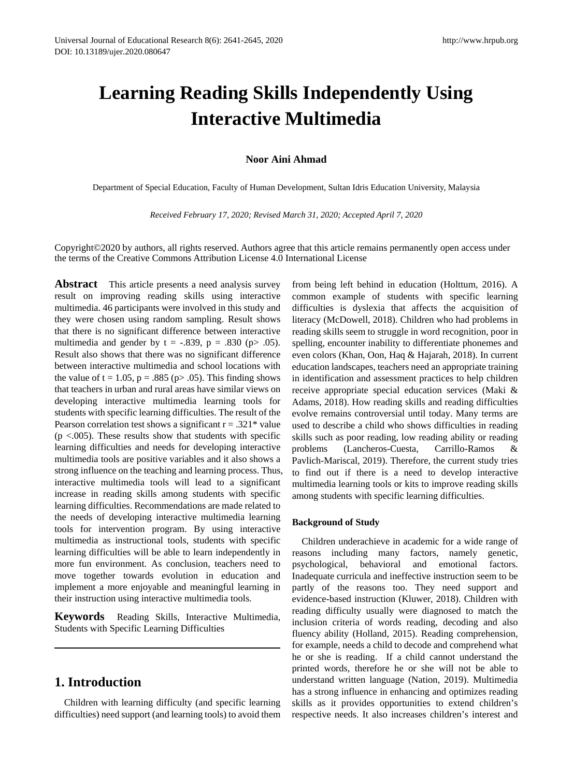# **Learning Reading Skills Independently Using Interactive Multimedia**

#### **Noor Aini Ahmad**

Department of Special Education, Faculty of Human Development, Sultan Idris Education University, Malaysia

*Received February 17, 2020; Revised March 31, 2020; Accepted April 7, 2020* 

Copyright©2020 by authors, all rights reserved. Authors agree that this article remains permanently open access under the terms of the Creative Commons Attribution License 4.0 International License

**Abstract** This article presents a need analysis survey result on improving reading skills using interactive multimedia. 46 participants were involved in this study and they were chosen using random sampling. Result shows that there is no significant difference between interactive multimedia and gender by  $t = -.839$ ,  $p = .830$  ( $p > .05$ ). Result also shows that there was no significant difference between interactive multimedia and school locations with the value of  $t = 1.05$ ,  $p = .885$  ( $p > .05$ ). This finding shows that teachers in urban and rural areas have similar views on developing interactive multimedia learning tools for students with specific learning difficulties. The result of the Pearson correlation test shows a significant  $r = .321*$  value  $(p < .005)$ . These results show that students with specific learning difficulties and needs for developing interactive multimedia tools are positive variables and it also shows a strong influence on the teaching and learning process. Thus, interactive multimedia tools will lead to a significant increase in reading skills among students with specific learning difficulties. Recommendations are made related to the needs of developing interactive multimedia learning tools for intervention program. By using interactive multimedia as instructional tools, students with specific learning difficulties will be able to learn independently in more fun environment. As conclusion, teachers need to move together towards evolution in education and implement a more enjoyable and meaningful learning in their instruction using interactive multimedia tools.

**Keywords** Reading Skills, Interactive Multimedia, Students with Specific Learning Difficulties

## **1. Introduction**

Children with learning difficulty (and specific learning difficulties) need support (and learning tools) to avoid them

from being left behind in education (Holttum, 2016). A common example of students with specific learning difficulties is dyslexia that affects the acquisition of literacy (McDowell, 2018). Children who had problems in reading skills seem to struggle in word recognition, poor in spelling, encounter inability to differentiate phonemes and even colors (Khan, Oon, Haq & Hajarah, 2018). In current education landscapes, teachers need an appropriate training in identification and assessment practices to help children receive appropriate special education services (Maki & Adams, 2018). How reading skills and reading difficulties evolve remains controversial until today. Many terms are used to describe a child who shows difficulties in reading skills such as poor reading, low reading ability or reading problems (Lancheros-Cuesta, Carrillo-Ramos & Pavlich-Mariscal, 2019). Therefore, the current study tries to find out if there is a need to develop interactive multimedia learning tools or kits to improve reading skills among students with specific learning difficulties.

#### **Background of Study**

Children underachieve in academic for a wide range of reasons including many factors, namely genetic, psychological, behavioral and emotional factors. Inadequate curricula and ineffective instruction seem to be partly of the reasons too. They need support and evidence-based instruction (Kluwer, 2018). Children with reading difficulty usually were diagnosed to match the inclusion criteria of words reading, decoding and also fluency ability (Holland, 2015). Reading comprehension, for example, needs a child to decode and comprehend what he or she is reading. If a child cannot understand the printed words, therefore he or she will not be able to understand written language (Nation, 2019). Multimedia has a strong influence in enhancing and optimizes reading skills as it provides opportunities to extend children's respective needs. It also increases children's interest and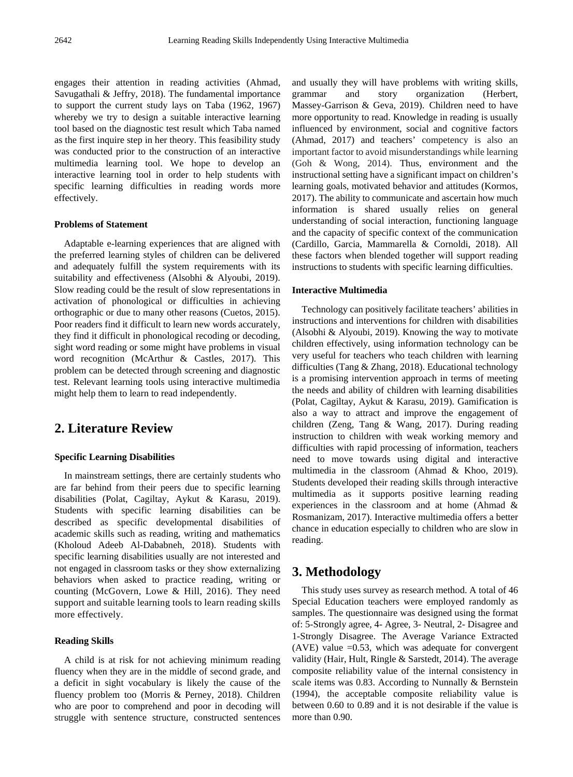engages their attention in reading activities (Ahmad, Savugathali & Jeffry, 2018). The fundamental importance to support the current study lays on Taba (1962, 1967) whereby we try to design a suitable interactive learning tool based on the diagnostic test result which Taba named as the first inquire step in her theory. This feasibility study was conducted prior to the construction of an interactive multimedia learning tool. We hope to develop an interactive learning tool in order to help students with specific learning difficulties in reading words more effectively.

#### **Problems of Statement**

Adaptable e-learning experiences that are aligned with the preferred learning styles of children can be delivered and adequately fulfill the system requirements with its suitability and effectiveness (Alsobhi & Alyoubi, 2019). Slow reading could be the result of slow representations in activation of phonological or difficulties in achieving orthographic or due to many other reasons (Cuetos, 2015). Poor readers find it difficult to learn new words accurately, they find it difficult in phonological recoding or decoding, sight word reading or some might have problems in visual word recognition (McArthur & Castles, 2017). This problem can be detected through screening and diagnostic test. Relevant learning tools using interactive multimedia might help them to learn to read independently.

## **2. Literature Review**

#### **Specific Learning Disabilities**

In mainstream settings, there are certainly students who are far behind from their peers due to specific learning disabilities (Polat, Cagiltay, Aykut & Karasu, 2019). Students with specific learning disabilities can be described as specific developmental disabilities of academic skills such as reading, writing and mathematics (Kholoud Adeeb Al-Dababneh, 2018). Students with specific learning disabilities usually are not interested and not engaged in classroom tasks or they show externalizing behaviors when asked to practice reading, writing or counting (McGovern, Lowe & Hill, 2016). They need support and suitable learning tools to learn reading skills more effectively.

#### **Reading Skills**

A child is at risk for not achieving minimum reading fluency when they are in the middle of second grade, and a deficit in sight vocabulary is likely the cause of the fluency problem too (Morris & Perney, 2018). Children who are poor to comprehend and poor in decoding will struggle with sentence structure, constructed sentences

and usually they will have problems with writing skills, grammar and story organization (Herbert, Massey-Garrison & Geva, 2019). Children need to have more opportunity to read. Knowledge in reading is usually influenced by environment, social and cognitive factors (Ahmad, 2017) and teachers' competency is also an important factor to avoid misunderstandings while learning (Goh & Wong, 2014). Thus, environment and the instructional setting have a significant impact on children's learning goals, motivated behavior and attitudes (Kormos, 2017). The ability to communicate and ascertain how much information is shared usually relies on general understanding of social interaction, functioning language and the capacity of specific context of the communication (Cardillo, Garcia, Mammarella & Cornoldi, 2018). All these factors when blended together will support reading instructions to students with specific learning difficulties.

#### **Interactive Multimedia**

Technology can positively facilitate teachers' abilities in instructions and interventions for children with disabilities (Alsobhi & Alyoubi, 2019). Knowing the way to motivate children effectively, using information technology can be very useful for teachers who teach children with learning difficulties (Tang & Zhang, 2018). Educational technology is a promising intervention approach in terms of meeting the needs and ability of children with learning disabilities (Polat, Cagiltay, Aykut & Karasu, 2019). Gamification is also a way to attract and improve the engagement of children (Zeng, Tang & Wang, 2017). During reading instruction to children with weak working memory and difficulties with rapid processing of information, teachers need to move towards using digital and interactive multimedia in the classroom (Ahmad & Khoo, 2019). Students developed their reading skills through interactive multimedia as it supports positive learning reading experiences in the classroom and at home (Ahmad & Rosmanizam, 2017). Interactive multimedia offers a better chance in education especially to children who are slow in reading.

## **3. Methodology**

This study uses survey as research method. A total of 46 Special Education teachers were employed randomly as samples. The questionnaire was designed using the format of: 5-Strongly agree, 4- Agree, 3- Neutral, 2- Disagree and 1-Strongly Disagree. The Average Variance Extracted (AVE) value  $=0.53$ , which was adequate for convergent validity (Hair, Hult, Ringle & Sarstedt, 2014). The average composite reliability value of the internal consistency in scale items was 0.83. According to Nunnally & Bernstein (1994), the acceptable composite reliability value is between 0.60 to 0.89 and it is not desirable if the value is more than 0.90.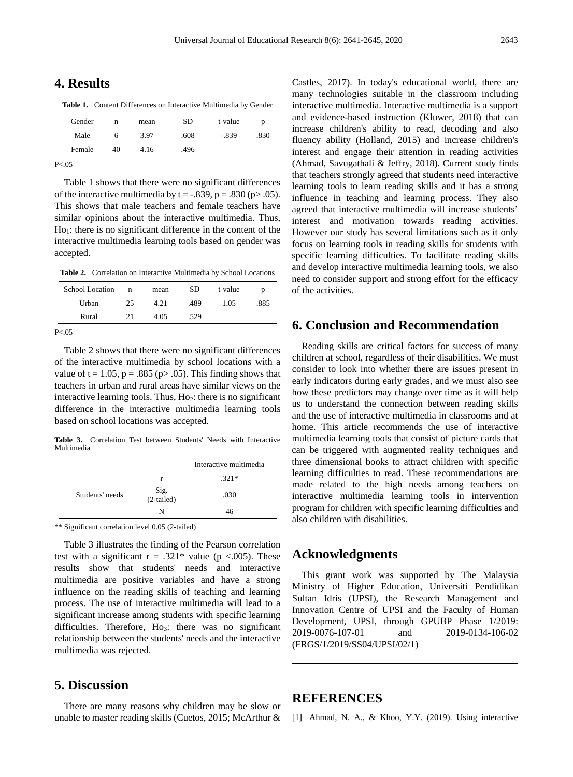## **4. Results**

**Table 1.** Content Differences on Interactive Multimedia by Gender

| Gender | n  | mean | SD   | t-value | D    |
|--------|----|------|------|---------|------|
| Male   | h  | 3.97 | .608 | $-.839$ | .830 |
| Female | 40 | 4.16 | .496 |         |      |

 $P < 0.05$ 

Table 1 shows that there were no significant differences of the interactive multimedia by  $t = -.839$ ,  $p = .830$  ( $p > .05$ ). This shows that male teachers and female teachers have similar opinions about the interactive multimedia. Thus,  $Ho<sub>1</sub>$ : there is no significant difference in the content of the interactive multimedia learning tools based on gender was accepted.

**Table 2.** Correlation on Interactive Multimedia by School Locations

| <b>School Location</b> | n  | mean | SD   | t-value | D    |
|------------------------|----|------|------|---------|------|
| Urban                  | 25 | 4.21 | .489 | 1.05    | .885 |
| Rural                  | 21 | 4.05 | .529 |         |      |

 $P < 05$ 

Table 2 shows that there were no significant differences of the interactive multimedia by school locations with a value of  $t = 1.05$ ,  $p = .885$  ( $p > .05$ ). This finding shows that teachers in urban and rural areas have similar views on the interactive learning tools. Thus,  $Ho<sub>2</sub>$ : there is no significant difference in the interactive multimedia learning tools based on school locations was accepted.

**Table 3.** Correlation Test between Students' Needs with Interactive Multimedia

|                 |                    | Interactive multimedia |
|-----------------|--------------------|------------------------|
|                 | r                  | $.321*$                |
| Students' needs | Sig.<br>(2-tailed) | .030                   |
|                 | N                  |                        |

\*\* Significant correlation level 0.05 (2-tailed)

Table 3 illustrates the finding of the Pearson correlation test with a significant  $r = .321*$  value (p <.005). These results show that students' needs and interactive multimedia are positive variables and have a strong influence on the reading skills of teaching and learning process. The use of interactive multimedia will lead to a significant increase among students with specific learning difficulties. Therefore,  $Ho_3$ : there was no significant relationship between the students' needs and the interactive multimedia was rejected.

## **5. Discussion**

There are many reasons why children may be slow or unable to master reading skills (Cuetos, 2015; McArthur &

Castles, 2017). In today's educational world, there are many technologies suitable in the classroom including interactive multimedia. Interactive multimedia is a support and evidence-based instruction (Kluwer, 2018) that can increase children's ability to read, decoding and also fluency ability (Holland, 2015) and increase children's interest and engage their attention in reading activities (Ahmad, Savugathali & Jeffry, 2018). Current study finds that teachers strongly agreed that students need interactive learning tools to learn reading skills and it has a strong influence in teaching and learning process. They also agreed that interactive multimedia will increase students' interest and motivation towards reading activities. However our study has several limitations such as it only focus on learning tools in reading skills for students with specific learning difficulties. To facilitate reading skills and develop interactive multimedia learning tools, we also need to consider support and strong effort for the efficacy of the activities.

# **6. Conclusion and Recommendation**

Reading skills are critical factors for success of many children at school, regardless of their disabilities. We must consider to look into whether there are issues present in early indicators during early grades, and we must also see how these predictors may change over time as it will help us to understand the connection between reading skills and the use of interactive multimedia in classrooms and at home. This article recommends the use of interactive multimedia learning tools that consist of picture cards that can be triggered with augmented reality techniques and three dimensional books to attract children with specific learning difficulties to read. These recommendations are made related to the high needs among teachers on interactive multimedia learning tools in intervention program for children with specific learning difficulties and also children with disabilities.

## **Acknowledgments**

This grant work was supported by The Malaysia Ministry of Higher Education, Universiti Pendidikan Sultan Idris (UPSI), the Research Management and Innovation Centre of UPSI and the Faculty of Human Development, UPSI, through GPUBP Phase 1/2019: 2019-0076-107-01 and 2019-0134-106-02 (FRGS/1/2019/SS04/UPSI/02/1)

## **REFERENCES**

[1] Ahmad, N. A., & Khoo, Y.Y. (2019). Using interactive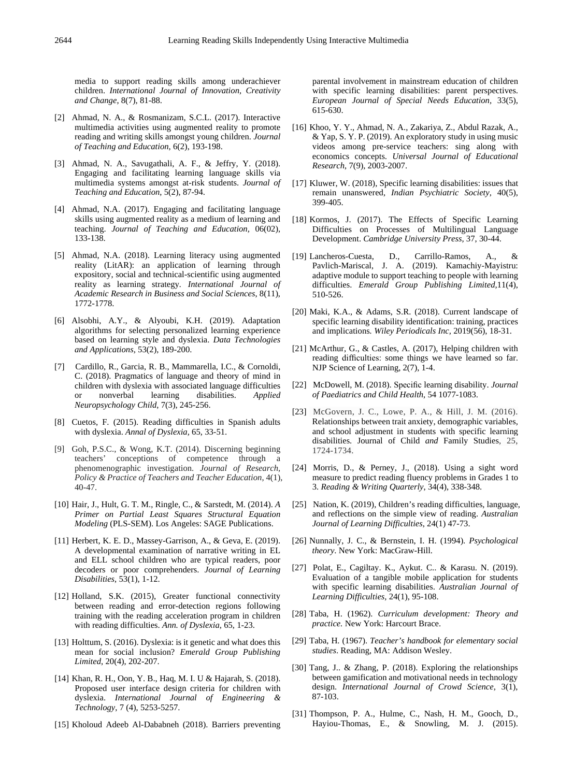media to support reading skills among underachiever children. *International Journal of Innovation, Creativity and Change*, 8(7), 81-88.

- [2] Ahmad, N. A., & Rosmanizam, S.C.L. (2017). Interactive multimedia activities using augmented reality to promote reading and writing skills amongst young children. *Journal of Teaching and Education*, 6(2), 193-198.
- [3] Ahmad, N. A., Savugathali, A. F., & Jeffry, Y. (2018). Engaging and facilitating learning language skills via multimedia systems amongst at-risk students. *Journal of Teaching and Education*, 5(2), 87-94.
- [4] Ahmad, N.A. (2017). Engaging and facilitating language skills using augmented reality as a medium of learning and teaching. *Journal of Teaching and Education,* 06(02), 133-138.
- [5] Ahmad, N.A. (2018). Learning literacy using augmented reality (LitAR): an application of learning through expository, social and technical-scientific using augmented reality as learning strategy*. International Journal of Academic Research in Business and Social Sciences*, 8(11), 1772-1778.
- [6] Alsobhi, A.Y., & Alyoubi, K.H. (2019). Adaptation algorithms for selecting personalized learning experience based on learning style and dyslexia. *Data Technologies and Applications,* 53(2), 189-200.
- [7] Cardillo, R., Garcia, R. B., Mammarella, I.C., & Cornoldi, C. (2018). Pragmatics of language and theory of mind in children with dyslexia with associated language difficulties or nonverbal learning disabilities. *Applied Neuropsychology Child*, 7(3), 245-256.
- [8] Cuetos, F. (2015). Reading difficulties in Spanish adults with dyslexia. *Annal of Dyslexia,* 65, 33-51.
- [9] Goh, P.S.C., & Wong, K.T. (2014). Discerning beginning teachers' conceptions of competence through a phenomenographic investigation. *Journal of Research, Policy & Practice of Teachers and Teacher Education*, 4(1), 40-47.
- [10] Hair, J., Hult, G. T. M., Ringle, C., & Sarstedt, M. (2014). *A Primer on Partial Least Squares Structural Equation Modeling* (PLS-SEM). Los Angeles: SAGE Publications.
- [11] Herbert, K. E. D., Massey-Garrison, A., & Geva, E. (2019). A developmental examination of narrative writing in EL and ELL school children who are typical readers, poor decoders or poor comprehenders. *Journal of Learning Disabilities*, 53(1), 1-12.
- [12] Holland, S.K. (2015), Greater functional connectivity between reading and error-detection regions following training with the reading acceleration program in children with reading difficulties. *Ann. of Dyslexia*, 65, 1-23.
- [13] Holttum, S. (2016). Dyslexia: is it genetic and what does this mean for social inclusion? *Emerald Group Publishing Limited*, 20(4), 202-207.
- [14] Khan, R. H., Oon, Y. B., Haq, M. I. U & Hajarah, S. (2018). Proposed user interface design criteria for children with dyslexia. *International Journal of Engineering & Technology*, 7 (4), 5253-5257.
- [15] Kholoud Adeeb Al-Dababneh (2018). Barriers preventing

parental involvement in mainstream education of children with specific learning disabilities: parent perspectives. *European Journal of Special Needs Education,* 33(5), 615-630.

- [16] Khoo, Y. Y., Ahmad, N. A., Zakariya, Z., Abdul Razak, A., & Yap, S. Y. P. (2019). An exploratory study in using music videos among pre-service teachers: sing along with economics concepts. *Universal Journal of Educational Research*, 7(9), 2003-2007.
- [17] Kluwer, W. (2018), Specific learning disabilities: issues that remain unanswered*, Indian Psychiatric Society,* 40(5), 399-405.
- [18] Kormos, J. (2017). The Effects of Specific Learning Difficulties on Processes of Multilingual Language Development. *Cambridge University Press,* 37, 30-44.
- [19] Lancheros-Cuesta, D., Carrillo-Ramos, A., & Pavlich-Mariscal, J. A. (2019). Kamachiy-Mayistru: adaptive module to support teaching to people with learning difficulties. *Emerald Group Publishing Limited,*11(4), 510-526.
- [20] Maki, K.A., & Adams, S.R. (2018). Current landscape of specific learning disability identification: training, practices and implications*. Wiley Periodicals Inc,* 2019(56), 18-31.
- [21] McArthur, G., & Castles, A. (2017), Helping children with reading difficulties: some things we have learned so far. NJP Science of Learning, 2(7), 1-4.
- [22] McDowell, M. (2018). Specific learning disability. *Journal of Paediatrics and Child Health*, 54 1077-1083.
- [23] McGovern, J. C., Lowe, P. A., & Hill, J. M. (2016). Relationships between trait anxiety, demographic variables, and school adjustment in students with specific learning disabilities. Journal of Child *and* Family Studies*,* 25, 1724-1734.
- [24] Morris, D., & Perney, J., (2018). Using a sight word measure to predict reading fluency problems in Grades 1 to 3. *Reading & Writing Quarterly*, 34(4), 338-348.
- [25] Nation, K. (2019), Children's reading difficulties, language, and reflections on the simple view of reading. *Australian Journal of Learning Difficulties*, 24(1) 47-73.
- [26] Nunnally, J. C., & Bernstein, I. H. (1994). *Psychological theory*. New York: MacGraw-Hill.
- [27] Polat, E., Cagiltay. K., Aykut. C.. & Karasu. N. (2019). Evaluation of a tangible mobile application for students with specific learning disabilities. *Australian Journal of Learning Difficulties,* 24(1), 95-108.
- [28] Taba, H. (1962). *Curriculum development: Theory and practice.* New York: Harcourt Brace.
- [29] Taba, H. (1967). *Teacher's handbook for elementary social studies*. Reading, MA: Addison Wesley.
- [30] Tang, J.. & Zhang, P. (2018). Exploring the relationships between gamification and motivational needs in technology design. *International Journal of Crowd Science,* 3(1), 87-103.
- [31] Thompson, P. A., Hulme, C., Nash, H. M., Gooch, D., Hayiou-Thomas, E., & Snowling, M. J. (2015).